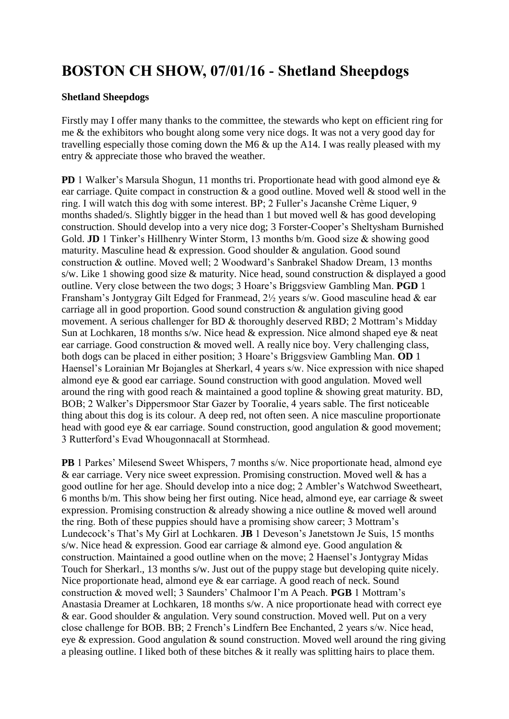## **BOSTON CH SHOW, 07/01/16 - Shetland Sheepdogs**

## **Shetland Sheepdogs**

Firstly may I offer many thanks to the committee, the stewards who kept on efficient ring for me & the exhibitors who bought along some very nice dogs. It was not a very good day for travelling especially those coming down the M6 & up the A14. I was really pleased with my entry & appreciate those who braved the weather.

**PD** 1 Walker's Marsula Shogun, 11 months tri. Proportionate head with good almond eye & ear carriage. Quite compact in construction  $\&$  a good outline. Moved well  $\&$  stood well in the ring. I will watch this dog with some interest. BP; 2 Fuller's Jacanshe Crème Liquer, 9 months shaded/s. Slightly bigger in the head than 1 but moved well & has good developing construction. Should develop into a very nice dog; 3 Forster-Cooper's Sheltysham Burnished Gold. **JD** 1 Tinker's Hillhenry Winter Storm, 13 months b/m. Good size & showing good maturity. Masculine head & expression. Good shoulder & angulation. Good sound construction & outline. Moved well; 2 Woodward's Sanbrakel Shadow Dream, 13 months s/w. Like 1 showing good size & maturity. Nice head, sound construction & displayed a good outline. Very close between the two dogs; 3 Hoare's Briggsview Gambling Man. **PGD** 1 Fransham's Jontygray Gilt Edged for Franmead, 2½ years s/w. Good masculine head & ear carriage all in good proportion. Good sound construction & angulation giving good movement. A serious challenger for BD & thoroughly deserved RBD; 2 Mottram's Midday Sun at Lochkaren, 18 months s/w. Nice head & expression. Nice almond shaped eye & neat ear carriage. Good construction & moved well. A really nice boy. Very challenging class, both dogs can be placed in either position; 3 Hoare's Briggsview Gambling Man. **OD** 1 Haensel's Lorainian Mr Bojangles at Sherkarl, 4 years s/w. Nice expression with nice shaped almond eye & good ear carriage. Sound construction with good angulation. Moved well around the ring with good reach & maintained a good topline & showing great maturity. BD, BOB; 2 Walker's Dippersmoor Star Gazer by Tooralie, 4 years sable. The first noticeable thing about this dog is its colour. A deep red, not often seen. A nice masculine proportionate head with good eye & ear carriage. Sound construction, good angulation & good movement; 3 Rutterford's Evad Whougonnacall at Stormhead.

**PB** 1 Parkes' Milesend Sweet Whispers, 7 months s/w. Nice proportionate head, almond eye & ear carriage. Very nice sweet expression. Promising construction. Moved well & has a good outline for her age. Should develop into a nice dog; 2 Ambler's Watchwod Sweetheart, 6 months b/m. This show being her first outing. Nice head, almond eye, ear carriage & sweet expression. Promising construction & already showing a nice outline & moved well around the ring. Both of these puppies should have a promising show career; 3 Mottram's Lundecock's That's My Girl at Lochkaren. **JB** 1 Deveson's Janetstown Je Suis, 15 months s/w. Nice head & expression. Good ear carriage & almond eye. Good angulation  $\&$ construction. Maintained a good outline when on the move; 2 Haensel's Jontygray Midas Touch for Sherkarl., 13 months s/w. Just out of the puppy stage but developing quite nicely. Nice proportionate head, almond eye & ear carriage. A good reach of neck. Sound construction & moved well; 3 Saunders' Chalmoor I'm A Peach. **PGB** 1 Mottram's Anastasia Dreamer at Lochkaren, 18 months s/w. A nice proportionate head with correct eye & ear. Good shoulder & angulation. Very sound construction. Moved well. Put on a very close challenge for BOB. BB; 2 French's Lindfern Bee Enchanted, 2 years s/w. Nice head, eye & expression. Good angulation & sound construction. Moved well around the ring giving a pleasing outline. I liked both of these bitches  $\&$  it really was splitting hairs to place them.